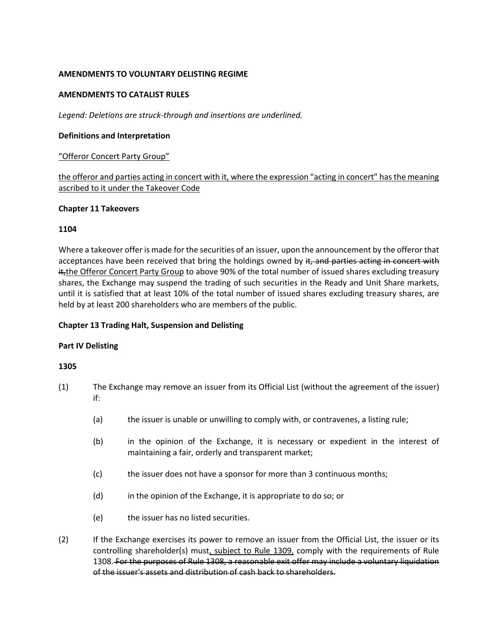# **AMENDMENTS TO VOLUNTARY DELISTING REGIME**

### **AMENDMENTS TO CATALIST RULES**

*Legend: Deletions are struck-through and insertions are underlined.*

### **Definitions and Interpretation**

### "Offeror Concert Party Group"

the offeror and parties acting in concert with it, where the expression "acting in concert" has the meaning ascribed to it under the Takeover Code

#### **Chapter 11 Takeovers**

### **1104**

Where a takeover offer is made for the securities of an issuer, upon the announcement by the offeror that acceptances have been received that bring the holdings owned by it, and parties acting in concert with it, the Offeror Concert Party Group to above 90% of the total number of issued shares excluding treasury shares, the Exchange may suspend the trading of such securities in the Ready and Unit Share markets, until it is satisfied that at least 10% of the total number of issued shares excluding treasury shares, are held by at least 200 shareholders who are members of the public.

# **Chapter 13 Trading Halt, Suspension and Delisting**

# **Part IV Delisting**

#### **1305**

- (1) The Exchange may remove an issuer from its Official List (without the agreement of the issuer) if:
	- (a) the issuer is unable or unwilling to comply with, or contravenes, a listing rule;
	- (b) in the opinion of the Exchange, it is necessary or expedient in the interest of maintaining a fair, orderly and transparent market;
	- (c) the issuer does not have a sponsor for more than 3 continuous months;
	- (d) in the opinion of the Exchange, it is appropriate to do so; or
	- (e) the issuer has no listed securities.
- (2) If the Exchange exercises its power to remove an issuer from the Official List, the issuer or its controlling shareholder(s) must, subject to Rule 1309, comply with the requirements of Rule 1308. For the purposes of Rule 1308, a reasonable exit offer may include a voluntary liquidation of the issuer's assets and distribution of cash back to shareholders.